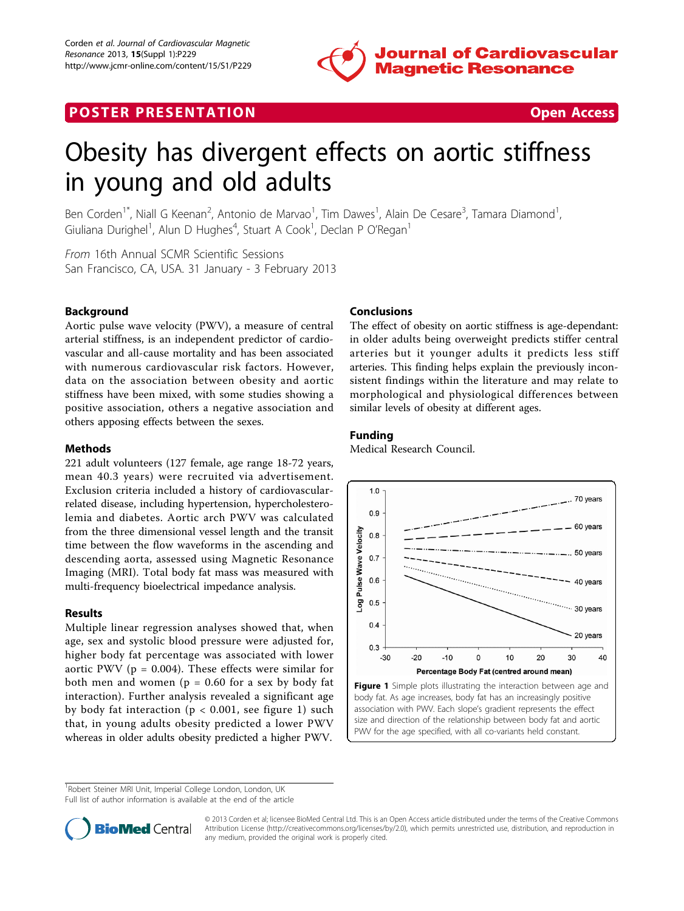

## **POSTER PRESENTATION CONSUMING THE SECOND CONSUMING THE SECOND CONSUMING THE SECOND CONSUMING THE SECOND CONSUMING THE SECOND CONSUMING THE SECOND CONSUMING THE SECOND CONSUMING THE SECOND CONSUMING THE SECOND CONSUMING**



# Obesity has divergent effects on aortic stiffness in young and old adults

Ben Corden<sup>1\*</sup>, Niall G Keenan<sup>2</sup>, Antonio de Marvao<sup>1</sup>, Tim Dawes<sup>1</sup>, Alain De Cesare<sup>3</sup>, Tamara Diamond<sup>1</sup> , Giuliana Durighel<sup>1</sup>, Alun D Hughes<sup>4</sup>, Stuart A Cook<sup>1</sup>, Declan P O'Regan<sup>1</sup>

From 16th Annual SCMR Scientific Sessions San Francisco, CA, USA. 31 January - 3 February 2013

### Background

Aortic pulse wave velocity (PWV), a measure of central arterial stiffness, is an independent predictor of cardiovascular and all-cause mortality and has been associated with numerous cardiovascular risk factors. However, data on the association between obesity and aortic stiffness have been mixed, with some studies showing a positive association, others a negative association and others apposing effects between the sexes.

#### Methods

221 adult volunteers (127 female, age range 18-72 years, mean 40.3 years) were recruited via advertisement. Exclusion criteria included a history of cardiovascularrelated disease, including hypertension, hypercholesterolemia and diabetes. Aortic arch PWV was calculated from the three dimensional vessel length and the transit time between the flow waveforms in the ascending and descending aorta, assessed using Magnetic Resonance Imaging (MRI). Total body fat mass was measured with multi-frequency bioelectrical impedance analysis.

#### Results

Multiple linear regression analyses showed that, when age, sex and systolic blood pressure were adjusted for, higher body fat percentage was associated with lower aortic PWV ( $p = 0.004$ ). These effects were similar for both men and women ( $p = 0.60$  for a sex by body fat interaction). Further analysis revealed a significant age by body fat interaction ( $p < 0.001$ , see figure 1) such that, in young adults obesity predicted a lower PWV whereas in older adults obesity predicted a higher PWV.

#### Conclusions

The effect of obesity on aortic stiffness is age-dependant: in older adults being overweight predicts stiffer central arteries but it younger adults it predicts less stiff arteries. This finding helps explain the previously inconsistent findings within the literature and may relate to morphological and physiological differences between similar levels of obesity at different ages.

#### Funding

Medical Research Council.



Figure 1 Simple plots illustrating the interaction between age and body fat. As age increases, body fat has an increasingly positive association with PWV. Each slope's gradient represents the effect size and direction of the relationship between body fat and aortic PWV for the age specified, with all co-variants held constant.

<sup>1</sup>Robert Steiner MRI Unit, Imperial College London, London, UK

Full list of author information is available at the end of the article



© 2013 Corden et al; licensee BioMed Central Ltd. This is an Open Access article distributed under the terms of the Creative Commons Attribution License [\(http://creativecommons.org/licenses/by/2.0](http://creativecommons.org/licenses/by/2.0)), which permits unrestricted use, distribution, and reproduction in any medium, provided the original work is properly cited.